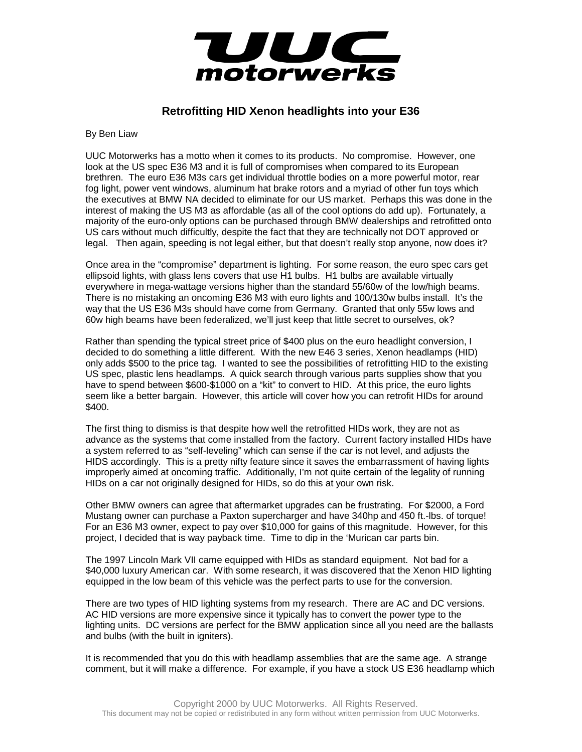

## **Retrofitting HID Xenon headlights into your E36**

By Ben Liaw

UUC Motorwerks has a motto when it comes to its products. No compromise. However, one look at the US spec E36 M3 and it is full of compromises when compared to its European brethren. The euro E36 M3s cars get individual throttle bodies on a more powerful motor, rear fog light, power vent windows, aluminum hat brake rotors and a myriad of other fun toys which the executives at BMW NA decided to eliminate for our US market. Perhaps this was done in the interest of making the US M3 as affordable (as all of the cool options do add up). Fortunately, a majority of the euro-only options can be purchased through BMW dealerships and retrofitted onto US cars without much difficultly, despite the fact that they are technically not DOT approved or legal. Then again, speeding is not legal either, but that doesn't really stop anyone, now does it?

Once area in the "compromise" department is lighting. For some reason, the euro spec cars get ellipsoid lights, with glass lens covers that use H1 bulbs. H1 bulbs are available virtually everywhere in mega-wattage versions higher than the standard 55/60w of the low/high beams. There is no mistaking an oncoming E36 M3 with euro lights and 100/130w bulbs install. It's the way that the US E36 M3s should have come from Germany. Granted that only 55w lows and 60w high beams have been federalized, we'll just keep that little secret to ourselves, ok?

Rather than spending the typical street price of \$400 plus on the euro headlight conversion, I decided to do something a little different. With the new E46 3 series, Xenon headlamps (HID) only adds \$500 to the price tag. I wanted to see the possibilities of retrofitting HID to the existing US spec, plastic lens headlamps. A quick search through various parts supplies show that you have to spend between \$600-\$1000 on a "kit" to convert to HID. At this price, the euro lights seem like a better bargain. However, this article will cover how you can retrofit HIDs for around \$400.

The first thing to dismiss is that despite how well the retrofitted HIDs work, they are not as advance as the systems that come installed from the factory. Current factory installed HIDs have a system referred to as "self-leveling" which can sense if the car is not level, and adjusts the HIDS accordingly. This is a pretty nifty feature since it saves the embarrassment of having lights improperly aimed at oncoming traffic. Additionally, I'm not quite certain of the legality of running HIDs on a car not originally designed for HIDs, so do this at your own risk.

Other BMW owners can agree that aftermarket upgrades can be frustrating. For \$2000, a Ford Mustang owner can purchase a Paxton supercharger and have 340hp and 450 ft.-lbs. of torque! For an E36 M3 owner, expect to pay over \$10,000 for gains of this magnitude. However, for this project, I decided that is way payback time. Time to dip in the 'Murican car parts bin.

The 1997 Lincoln Mark VII came equipped with HIDs as standard equipment. Not bad for a \$40,000 luxury American car. With some research, it was discovered that the Xenon HID lighting equipped in the low beam of this vehicle was the perfect parts to use for the conversion.

There are two types of HID lighting systems from my research. There are AC and DC versions. AC HID versions are more expensive since it typically has to convert the power type to the lighting units. DC versions are perfect for the BMW application since all you need are the ballasts and bulbs (with the built in igniters).

It is recommended that you do this with headlamp assemblies that are the same age. A strange comment, but it will make a difference. For example, if you have a stock US E36 headlamp which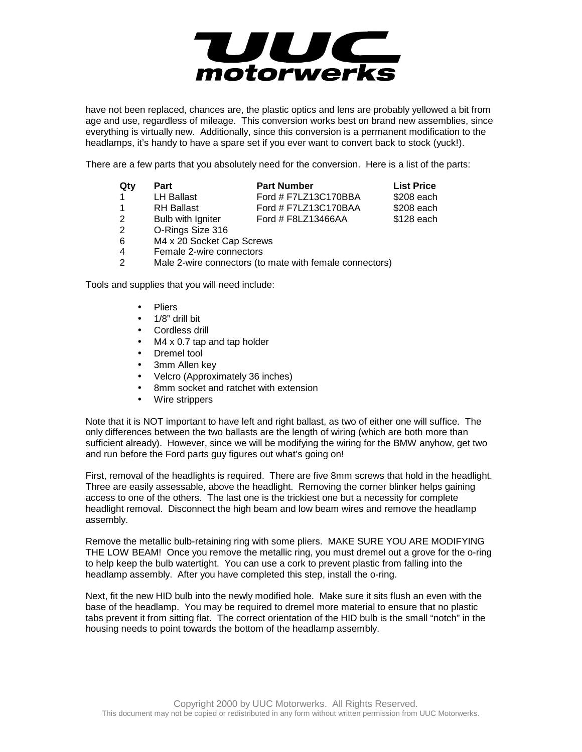

have not been replaced, chances are, the plastic optics and lens are probably yellowed a bit from age and use, regardless of mileage. This conversion works best on brand new assemblies, since everything is virtually new. Additionally, since this conversion is a permanent modification to the headlamps, it's handy to have a spare set if you ever want to convert back to stock (yuck!).

There are a few parts that you absolutely need for the conversion. Here is a list of the parts:

| Qty            | Part                      | <b>Part Number</b>   | <b>List Price</b> |
|----------------|---------------------------|----------------------|-------------------|
|                | <b>LH Ballast</b>         | Ford # F7LZ13C170BBA | \$208 each        |
|                | <b>RH</b> Ballast         | Ford # F7LZ13C170BAA | \$208 each        |
| $\overline{2}$ | Bulb with Igniter         | Ford # F8LZ13466AA   | \$128 each        |
| $\mathcal{P}$  | O-Rings Size 316          |                      |                   |
| 6              | M4 x 20 Socket Cap Screws |                      |                   |
|                |                           |                      |                   |

- 4 Female 2-wire connectors
- 2 Male 2-wire connectors (to mate with female connectors)

Tools and supplies that you will need include:

- Pliers
- 1/8" drill bit
- Cordless drill
- M4 x 0.7 tap and tap holder
- Dremel tool
- 3mm Allen key
- Velcro (Approximately 36 inches)
- 8mm socket and ratchet with extension
- Wire strippers

Note that it is NOT important to have left and right ballast, as two of either one will suffice. The only differences between the two ballasts are the length of wiring (which are both more than sufficient already). However, since we will be modifying the wiring for the BMW anyhow, get two and run before the Ford parts guy figures out what's going on!

First, removal of the headlights is required. There are five 8mm screws that hold in the headlight. Three are easily assessable, above the headlight. Removing the corner blinker helps gaining access to one of the others. The last one is the trickiest one but a necessity for complete headlight removal. Disconnect the high beam and low beam wires and remove the headlamp assembly.

Remove the metallic bulb-retaining ring with some pliers. MAKE SURE YOU ARE MODIFYING THE LOW BEAM! Once you remove the metallic ring, you must dremel out a grove for the o-ring to help keep the bulb watertight. You can use a cork to prevent plastic from falling into the headlamp assembly. After you have completed this step, install the o-ring.

Next, fit the new HID bulb into the newly modified hole. Make sure it sits flush an even with the base of the headlamp. You may be required to dremel more material to ensure that no plastic tabs prevent it from sitting flat. The correct orientation of the HID bulb is the small "notch" in the housing needs to point towards the bottom of the headlamp assembly.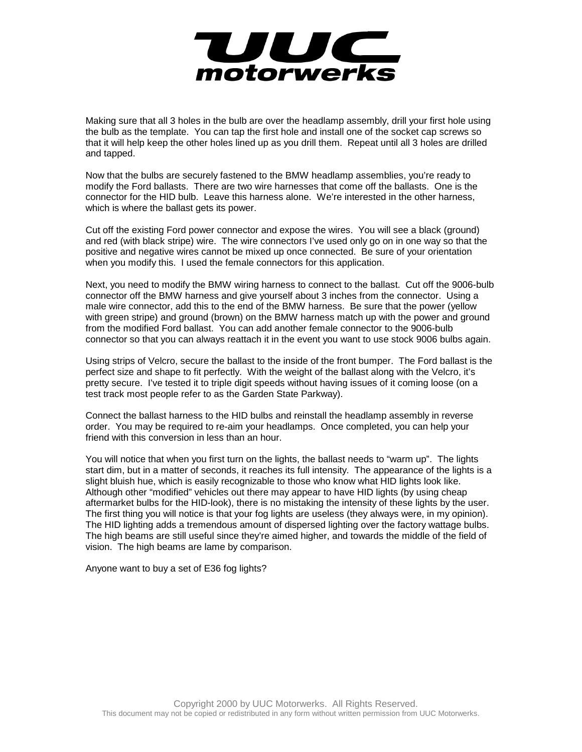

Making sure that all 3 holes in the bulb are over the headlamp assembly, drill your first hole using the bulb as the template. You can tap the first hole and install one of the socket cap screws so that it will help keep the other holes lined up as you drill them. Repeat until all 3 holes are drilled and tapped.

Now that the bulbs are securely fastened to the BMW headlamp assemblies, you're ready to modify the Ford ballasts. There are two wire harnesses that come off the ballasts. One is the connector for the HID bulb. Leave this harness alone. We're interested in the other harness, which is where the ballast gets its power.

Cut off the existing Ford power connector and expose the wires. You will see a black (ground) and red (with black stripe) wire. The wire connectors I've used only go on in one way so that the positive and negative wires cannot be mixed up once connected. Be sure of your orientation when you modify this. I used the female connectors for this application.

Next, you need to modify the BMW wiring harness to connect to the ballast. Cut off the 9006-bulb connector off the BMW harness and give yourself about 3 inches from the connector. Using a male wire connector, add this to the end of the BMW harness. Be sure that the power (yellow with green stripe) and ground (brown) on the BMW harness match up with the power and ground from the modified Ford ballast. You can add another female connector to the 9006-bulb connector so that you can always reattach it in the event you want to use stock 9006 bulbs again.

Using strips of Velcro, secure the ballast to the inside of the front bumper. The Ford ballast is the perfect size and shape to fit perfectly. With the weight of the ballast along with the Velcro, it's pretty secure. I've tested it to triple digit speeds without having issues of it coming loose (on a test track most people refer to as the Garden State Parkway).

Connect the ballast harness to the HID bulbs and reinstall the headlamp assembly in reverse order. You may be required to re-aim your headlamps. Once completed, you can help your friend with this conversion in less than an hour.

You will notice that when you first turn on the lights, the ballast needs to "warm up". The lights start dim, but in a matter of seconds, it reaches its full intensity. The appearance of the lights is a slight bluish hue, which is easily recognizable to those who know what HID lights look like. Although other "modified" vehicles out there may appear to have HID lights (by using cheap aftermarket bulbs for the HID-look), there is no mistaking the intensity of these lights by the user. The first thing you will notice is that your fog lights are useless (they always were, in my opinion). The HID lighting adds a tremendous amount of dispersed lighting over the factory wattage bulbs. The high beams are still useful since they're aimed higher, and towards the middle of the field of vision. The high beams are lame by comparison.

Anyone want to buy a set of E36 fog lights?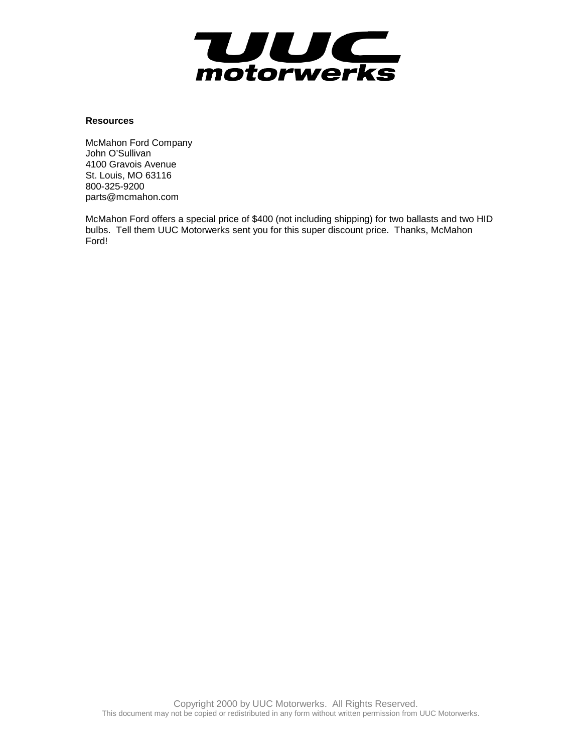

## **Resources**

McMahon Ford Company John O'Sullivan 4100 Gravois Avenue St. Louis, MO 63116 800-325-9200 parts@mcmahon.com

McMahon Ford offers a special price of \$400 (not including shipping) for two ballasts and two HID bulbs. Tell them UUC Motorwerks sent you for this super discount price. Thanks, McMahon Ford!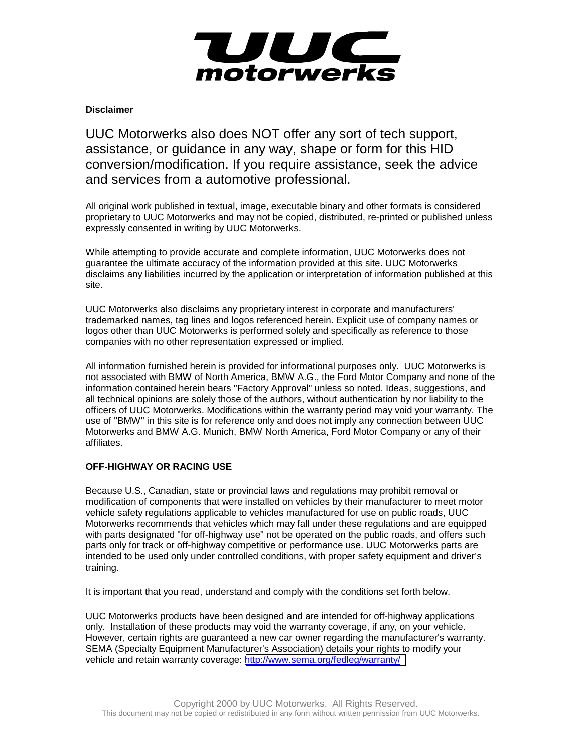

## **Disclaimer**

UUC Motorwerks also does NOT offer any sort of tech support, assistance, or guidance in any way, shape or form for this HID conversion/modification. If you require assistance, seek the advice and services from a automotive professional.

All original work published in textual, image, executable binary and other formats is considered proprietary to UUC Motorwerks and may not be copied, distributed, re-printed or published unless expressly consented in writing by UUC Motorwerks.

While attempting to provide accurate and complete information, UUC Motorwerks does not guarantee the ultimate accuracy of the information provided at this site. UUC Motorwerks disclaims any liabilities incurred by the application or interpretation of information published at this site.

UUC Motorwerks also disclaims any proprietary interest in corporate and manufacturers' trademarked names, tag lines and logos referenced herein. Explicit use of company names or logos other than UUC Motorwerks is performed solely and specifically as reference to those companies with no other representation expressed or implied.

All information furnished herein is provided for informational purposes only. UUC Motorwerks is not associated with BMW of North America, BMW A.G., the Ford Motor Company and none of the information contained herein bears "Factory Approval" unless so noted. Ideas, suggestions, and all technical opinions are solely those of the authors, without authentication by nor liability to the officers of UUC Motorwerks. Modifications within the warranty period may void your warranty. The use of "BMW" in this site is for reference only and does not imply any connection between UUC Motorwerks and BMW A.G. Munich, BMW North America, Ford Motor Company or any of their affiliates.

## **OFF-HIGHWAY OR RACING USE**

Because U.S., Canadian, state or provincial laws and regulations may prohibit removal or modification of components that were installed on vehicles by their manufacturer to meet motor vehicle safety regulations applicable to vehicles manufactured for use on public roads, UUC Motorwerks recommends that vehicles which may fall under these regulations and are equipped with parts designated "for off-highway use" not be operated on the public roads, and offers such parts only for track or off-highway competitive or performance use. UUC Motorwerks parts are intended to be used only under controlled conditions, with proper safety equipment and driver's training.

It is important that you read, understand and comply with the conditions set forth below.

UUC Motorwerks products have been designed and are intended for off-highway applications only. Installation of these products may void the warranty coverage, if any, on your vehicle. However, certain rights are guaranteed a new car owner regarding the manufacturer's warranty. SEMA (Specialty Equipment Manufacturer's Association) details your rights to modify your vehicle and retain warranty coverage: <http://www.sema.org/fedleg/warranty/>